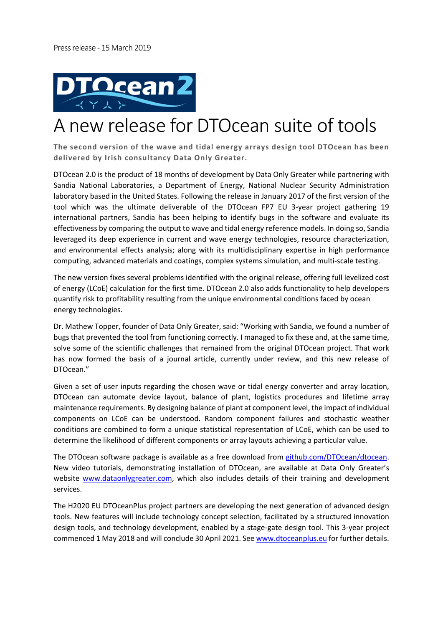

## A new release for DTOcean suite of tools

**The second version of the wave and tidal energy arrays design tool DTOcean has been delivered by Irish consultancy Data Only Greater.** 

DTOcean 2.0 is the product of 18 months of development by Data Only Greater while partnering with Sandia National Laboratories, a Department of Energy, National Nuclear Security Administration laboratory based in the United States. Following the release in January 2017 of the first version of the tool which was the ultimate deliverable of the DTOcean FP7 EU 3-year project gathering 19 international partners, Sandia has been helping to identify bugs in the software and evaluate its effectiveness by comparing the output to wave and tidal energy reference models. In doing so, Sandia leveraged its deep experience in current and wave energy technologies, resource characterization, and environmental effects analysis; along with its multidisciplinary expertise in high performance computing, advanced materials and coatings, complex systems simulation, and multi-scale testing.

The new version fixes several problems identified with the original release, offering full levelized cost of energy (LCoE) calculation for the first time. DTOcean 2.0 also adds functionality to help developers quantify risk to profitability resulting from the unique environmental conditions faced by ocean energy technologies.

Dr. Mathew Topper, founder of Data Only Greater, said: "Working with Sandia, we found a number of bugs that prevented the tool from functioning correctly. I managed to fix these and, at the same time, solve some of the scientific challenges that remained from the original DTOcean project. That work has now formed the basis of a journal article, currently under review, and this new release of DTOcean."

Given a set of user inputs regarding the chosen wave or tidal energy converter and array location, DTOcean can automate device layout, balance of plant, logistics procedures and lifetime array maintenance requirements. By designing balance of plant at component level, the impact of individual components on LCoE can be understood. Random component failures and stochastic weather conditions are combined to form a unique statistical representation of LCoE, which can be used to determine the likelihood of different components or array layouts achieving a particular value.

The DTOcean software package is available as a free download from github.com/DTOcean/dtocean. New video tutorials, demonstrating installation of DTOcean, are available at Data Only Greater's website www.dataonlygreater.com, which also includes details of their training and development services.

The H2020 EU DTOceanPlus project partners are developing the next generation of advanced design tools. New features will include technology concept selection, facilitated by a structured innovation design tools, and technology development, enabled by a stage‐gate design tool. This 3‐year project commenced 1 May 2018 and will conclude 30 April 2021. See www.dtoceanplus.eu for further details.